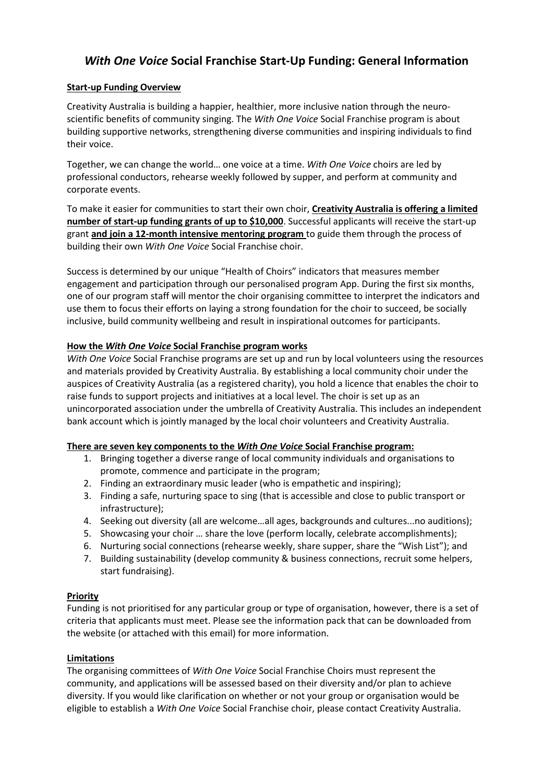# *With One Voice* **Social Franchise Start-Up Funding: General Information**

## **Start-up Funding Overview**

Creativity Australia is building a happier, healthier, more inclusive nation through the neuroscientific benefits of community singing. The *With One Voice* Social Franchise program is about building supportive networks, strengthening diverse communities and inspiring individuals to find their voice.

Together, we can change the world… one voice at a time. *With One Voice* choirs are led by professional conductors, rehearse weekly followed by supper, and perform at community and corporate events.

To make it easier for communities to start their own choir, **Creativity Australia is offering a limited number of start-up funding grants of up to \$10,000**. Successful applicants will receive the start-up grant **and join a 12-month intensive mentoring program** to guide them through the process of building their own *With One Voice* Social Franchise choir.

Success is determined by our unique "Health of Choirs" indicators that measures member engagement and participation through our personalised program App. During the first six months, one of our program staff will mentor the choir organising committee to interpret the indicators and use them to focus their efforts on laying a strong foundation for the choir to succeed, be socially inclusive, build community wellbeing and result in inspirational outcomes for participants.

### **How the** *With One Voice* **Social Franchise program works**

*With One Voice* Social Franchise programs are set up and run by local volunteers using the resources and materials provided by Creativity Australia. By establishing a local community choir under the auspices of Creativity Australia (as a registered charity), you hold a licence that enables the choir to raise funds to support projects and initiatives at a local level. The choir is set up as an unincorporated association under the umbrella of Creativity Australia. This includes an independent bank account which is jointly managed by the local choir volunteers and Creativity Australia.

### **There are seven key components to the** *With One Voice* **Social Franchise program:**

- 1. Bringing together a diverse range of local community individuals and organisations to promote, commence and participate in the program;
- 2. Finding an extraordinary music leader (who is empathetic and inspiring);
- 3. Finding a safe, nurturing space to sing (that is accessible and close to public transport or infrastructure);
- 4. Seeking out diversity (all are welcome…all ages, backgrounds and cultures...no auditions);
- 5. Showcasing your choir … share the love (perform locally, celebrate accomplishments);
- 6. Nurturing social connections (rehearse weekly, share supper, share the "Wish List"); and
- 7. Building sustainability (develop community & business connections, recruit some helpers, start fundraising).

### **Priority**

Funding is not prioritised for any particular group or type of organisation, however, there is a set of criteria that applicants must meet. Please see the information pack that can be downloaded from the website (or attached with this email) for more information.

### **Limitations**

The organising committees of *With One Voice* Social Franchise Choirs must represent the community, and applications will be assessed based on their diversity and/or plan to achieve diversity. If you would like clarification on whether or not your group or organisation would be eligible to establish a *With One Voice* Social Franchise choir, please contact Creativity Australia.